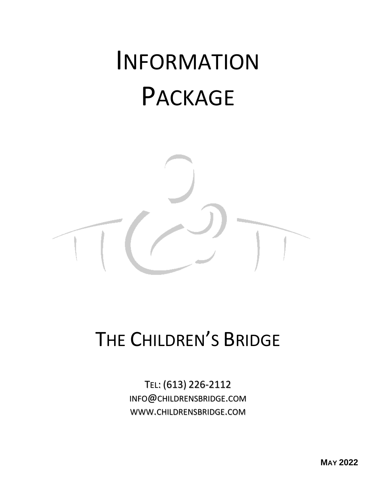# INFORMATION PACKAGE



## THE CHILDREN'S BRIDGE

TEL: (613) 226-2112 INFO@CHILDRENSBRIDGE.COM WWW.CHILDRENSBRIDGE.COM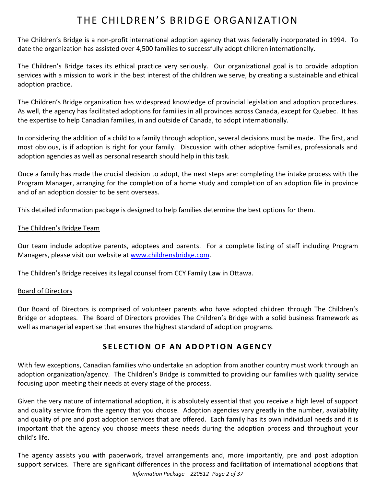### THE CHILDREN'S BRIDGE ORGANIZATION

The Children's Bridge is a non-profit international adoption agency that was federally incorporated in 1994. To date the organization has assisted over 4,500 families to successfully adopt children internationally.

The Children's Bridge takes its ethical practice very seriously. Our organizational goal is to provide adoption services with a mission to work in the best interest of the children we serve, by creating a sustainable and ethical adoption practice.

The Children's Bridge organization has widespread knowledge of provincial legislation and adoption procedures. As well, the agency has facilitated adoptions for families in all provinces across Canada, except for Quebec. It has the expertise to help Canadian families, in and outside of Canada, to adopt internationally.

In considering the addition of a child to a family through adoption, several decisions must be made. The first, and most obvious, is if adoption is right for your family. Discussion with other adoptive families, professionals and adoption agencies as well as personal research should help in this task.

Once a family has made the crucial decision to adopt, the next steps are: completing the intake process with the Program Manager, arranging for the completion of a home study and completion of an adoption file in province and of an adoption dossier to be sent overseas.

This detailed information package is designed to help families determine the best options for them.

#### The Children's Bridge Team

Our team include adoptive parents, adoptees and parents. For a complete listing of staff including Program Managers, please visit our website at [www.childrensbridge.com.](http://www.childrensbridge.com/)

The Children's Bridge receives its legal counsel from CCY Family Law in Ottawa.

#### Board of Directors

Our Board of Directors is comprised of volunteer parents who have adopted children through The Children's Bridge or adoptees. The Board of Directors provides The Children's Bridge with a solid business framework as well as managerial expertise that ensures the highest standard of adoption programs.

#### **S E L E C T I O N O F A N A D O P T IO N A G E N C Y**

With few exceptions, Canadian families who undertake an adoption from another country must work through an adoption organization/agency. The Children's Bridge is committed to providing our families with quality service focusing upon meeting their needs at every stage of the process.

Given the very nature of international adoption, it is absolutely essential that you receive a high level of support and quality service from the agency that you choose. Adoption agencies vary greatly in the number, availability and quality of pre and post adoption services that are offered. Each family has its own individual needs and it is important that the agency you choose meets these needs during the adoption process and throughout your child's life.

*Information Package – 220512- Page 2 of 37* The agency assists you with paperwork, travel arrangements and, more importantly, pre and post adoption support services. There are significant differences in the process and facilitation of international adoptions that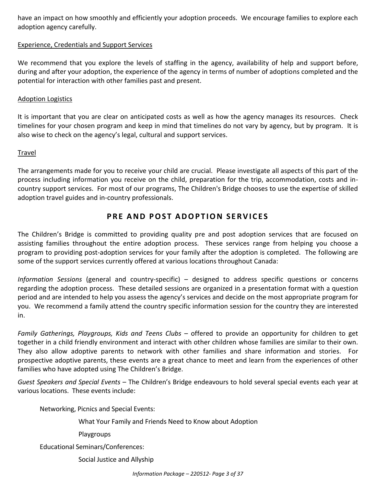have an impact on how smoothly and efficiently your adoption proceeds. We encourage families to explore each adoption agency carefully.

#### Experience, Credentials and Support Services

We recommend that you explore the levels of staffing in the agency, availability of help and support before, during and after your adoption, the experience of the agency in terms of number of adoptions completed and the potential for interaction with other families past and present.

#### Adoption Logistics

It is important that you are clear on anticipated costs as well as how the agency manages its resources. Check timelines for your chosen program and keep in mind that timelines do not vary by agency, but by program. It is also wise to check on the agency's legal, cultural and support services.

#### Travel

The arrangements made for you to receive your child are crucial. Please investigate all aspects of this part of the process including information you receive on the child, preparation for the trip, accommodation, costs and incountry support services. For most of our programs, The Children's Bridge chooses to use the expertise of skilled adoption travel guides and in-country professionals.

#### **P R E AND P OS T A D O P T I O N S E R V I C E S**

The Children's Bridge is committed to providing quality pre and post adoption services that are focused on assisting families throughout the entire adoption process. These services range from helping you choose a program to providing post-adoption services for your family after the adoption is completed. The following are some of the support services currently offered at various locations throughout Canada:

*Information Sessions* (general and country-specific) – designed to address specific questions or concerns regarding the adoption process. These detailed sessions are organized in a presentation format with a question period and are intended to help you assess the agency's services and decide on the most appropriate program for you. We recommend a family attend the country specific information session for the country they are interested in.

*Family Gatherings, Playgroups, Kids and Teens Clubs* – offered to provide an opportunity for children to get together in a child friendly environment and interact with other children whose families are similar to their own. They also allow adoptive parents to network with other families and share information and stories. For prospective adoptive parents, these events are a great chance to meet and learn from the experiences of other families who have adopted using The Children's Bridge.

*Guest Speakers and Special Events* – The Children's Bridge endeavours to hold several special events each year at various locations. These events include:

Networking, Picnics and Special Events:

What Your Family and Friends Need to Know about Adoption

Playgroups

Educational Seminars/Conferences:

Social Justice and Allyship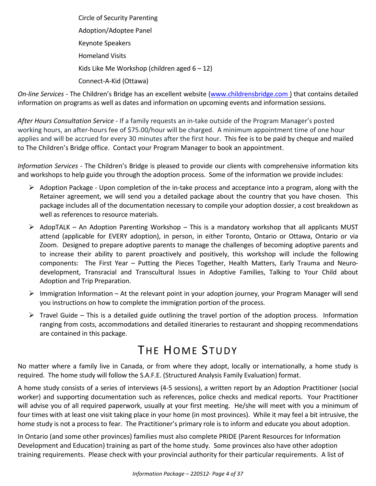Circle of Security Parenting Adoption/Adoptee Panel Keynote Speakers Homeland Visits Kids Like Me Workshop (children aged  $6 - 12$ ) Connect-A-Kid (Ottawa)

*On-line Services -* The Children's Bridge has an excellent website [\(www.childrensbridge.com](http://www.childrensbridge.com/) ) that contains detailed information on programs as well as dates and information on upcoming events and information sessions.

*After Hours Consultation Service -* If a family requests an in-take outside of the Program Manager's posted working hours, an after-hours fee of \$75.00/hour will be charged. A minimum appointment time of one hour applies and will be accrued for every 30 minutes after the first hour. This fee is to be paid by cheque and mailed to The Children's Bridge office. Contact your Program Manager to book an appointment.

*Information Services* - The Children's Bridge is pleased to provide our clients with comprehensive information kits and workshops to help guide you through the adoption process. Some of the information we provide includes:

- $\triangleright$  Adoption Package Upon completion of the in-take process and acceptance into a program, along with the Retainer agreement, we will send you a detailed package about the country that you have chosen. This package includes all of the documentation necessary to compile your adoption dossier, a cost breakdown as well as references to resource materials.
- $\triangleright$  AdopTALK An Adoption Parenting Workshop This is a mandatory workshop that all applicants MUST attend (applicable for EVERY adoption), in person, in either Toronto, Ontario or Ottawa, Ontario or via Zoom. Designed to prepare adoptive parents to manage the challenges of becoming adoptive parents and to increase their ability to parent proactively and positively, this workshop will include the following components: The First Year – Putting the Pieces Together, Health Matters, Early Trauma and Neurodevelopment, Transracial and Transcultural Issues in Adoptive Families, Talking to Your Child about Adoption and Trip Preparation.
- ➢ Immigration Information At the relevant point in your adoption journey, your Program Manager will send you instructions on how to complete the immigration portion of the process.
- $\triangleright$  Travel Guide This is a detailed guide outlining the travel portion of the adoption process. Information ranging from costs, accommodations and detailed itineraries to restaurant and shopping recommendations are contained in this package.

### THE HOME STUDY

No matter where a family live in Canada, or from where they adopt, locally or internationally, a home study is required. The home study will follow the S.A.F.E. (Structured Analysis Family Evaluation) format.

A home study consists of a series of interviews (4-5 sessions), a written report by an Adoption Practitioner (social worker) and supporting documentation such as references, police checks and medical reports. Your Practitioner will advise you of all required paperwork, usually at your first meeting. He/she will meet with you a minimum of four times with at least one visit taking place in your home (in most provinces). While it may feel a bit intrusive, the home study is not a process to fear. The Practitioner's primary role is to inform and educate you about adoption.

In Ontario (and some other provinces) families must also complete PRIDE (Parent Resources for Information Development and Education) training as part of the home study. Some provinces also have other adoption training requirements. Please check with your provincial authority for their particular requirements. A list of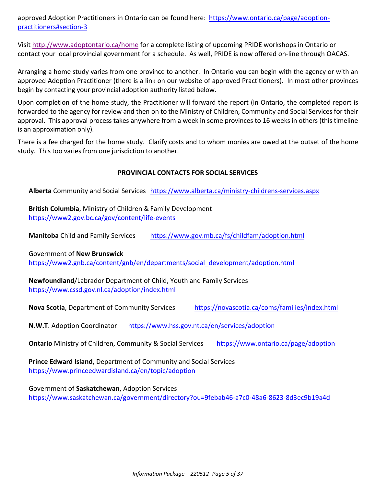approved Adoption Practitioners in Ontario can be found here: [https://www.ontario.ca/page/adoption](https://www.ontario.ca/page/adoption-practitioners#section-3)[practitioners#section-3](https://www.ontario.ca/page/adoption-practitioners#section-3)

Visit<http://www.adoptontario.ca/home> for a complete listing of upcoming PRIDE workshops in Ontario or contact your local provincial government for a schedule. As well, PRIDE is now offered on-line through OACAS.

Arranging a home study varies from one province to another. In Ontario you can begin with the agency or with an approved Adoption Practitioner (there is a link on our website of approved Practitioners). In most other provinces begin by contacting your provincial adoption authority listed below.

Upon completion of the home study, the Practitioner will forward the report (in Ontario, the completed report is forwarded to the agency for review and then on to the Ministry of Children, Community and Social Services for their approval. This approval process takes anywhere from a week in some provinces to 16 weeks in others (this timeline is an approximation only).

There is a fee charged for the home study. Clarify costs and to whom monies are owed at the outset of the home study. This too varies from one jurisdiction to another.

#### **PROVINCIAL CONTACTS FOR SOCIAL SERVICES**

**Alberta** Community and Social Services <https://www.alberta.ca/ministry-childrens-services.aspx>

**British Columbia**, Ministry of Children & Family Development <https://www2.gov.bc.ca/gov/content/life-events>

**Manitoba** Child and Family Services <https://www.gov.mb.ca/fs/childfam/adoption.html>

Government of **New Brunswick**

[https://www2.gnb.ca/content/gnb/en/departments/social\\_development/adoption.html](https://www2.gnb.ca/content/gnb/en/departments/social_development/adoption.html)

**Newfoundland**/Labrador Department of Child, Youth and Family Services <https://www.cssd.gov.nl.ca/adoption/index.html>

**Nova Scotia**, Department of Community Services <https://novascotia.ca/coms/families/index.html>

**N.W.T**. Adoption Coordinator <https://www.hss.gov.nt.ca/en/services/adoption>

**Ontario** Ministry of Children, Community & Social Services <https://www.ontario.ca/page/adoption>

**Prince Edward Island**, Department of Community and Social Services <https://www.princeedwardisland.ca/en/topic/adoption>

Government of **Saskatchewan**, Adoption Services <https://www.saskatchewan.ca/government/directory?ou=9febab46-a7c0-48a6-8623-8d3ec9b19a4d>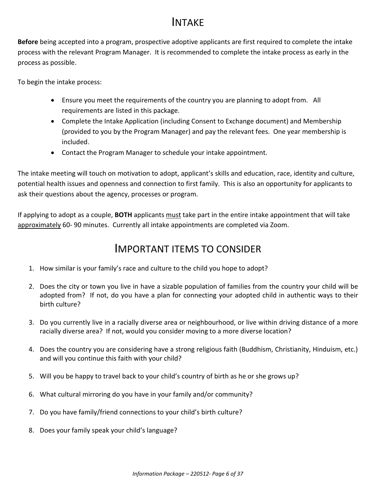### INTAKE

**Before** being accepted into a program, prospective adoptive applicants are first required to complete the intake process with the relevant Program Manager. It is recommended to complete the intake process as early in the process as possible.

To begin the intake process:

- Ensure you meet the requirements of the country you are planning to adopt from. All requirements are listed in this package.
- Complete the Intake Application (including Consent to Exchange document) and Membership (provided to you by the Program Manager) and pay the relevant fees. One year membership is included.
- Contact the Program Manager to schedule your intake appointment.

The intake meeting will touch on motivation to adopt, applicant's skills and education, race, identity and culture, potential health issues and openness and connection to first family. This is also an opportunity for applicants to ask their questions about the agency, processes or program.

If applying to adopt as a couple, **BOTH** applicants must take part in the entire intake appointment that will take approximately 60- 90 minutes. Currently all intake appointments are completed via Zoom.

### IMPORTANT ITEMS TO CONSIDER

- 1. How similar is your family's race and culture to the child you hope to adopt?
- 2. Does the city or town you live in have a sizable population of families from the country your child will be adopted from? If not, do you have a plan for connecting your adopted child in authentic ways to their birth culture?
- 3. Do you currently live in a racially diverse area or neighbourhood, or live within driving distance of a more racially diverse area? If not, would you consider moving to a more diverse location?
- 4. Does the country you are considering have a strong religious faith (Buddhism, Christianity, Hinduism, etc.) and will you continue this faith with your child?
- 5. Will you be happy to travel back to your child's country of birth as he or she grows up?
- 6. What cultural mirroring do you have in your family and/or community?
- 7. Do you have family/friend connections to your child's birth culture?
- 8. Does your family speak your child's language?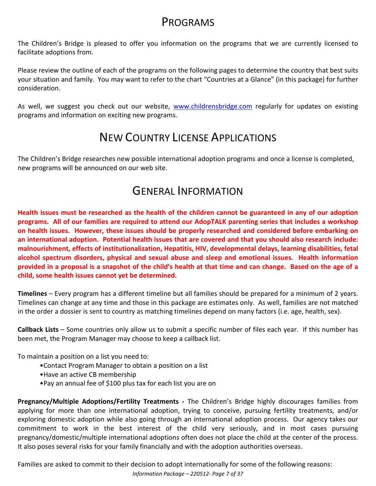### PROGRAMS

The Children's Bridge is pleased to offer you information on the programs that we are currently licensed to facilitate adoptions from.

Please review the outline of each of the programs on the following pages to determine the country that best suits your situation and family. You may want to refer to the chart "Countries at a Glance" (in this package) for further consideration.

As well, we suggest you check out our website, [www.childrensbridge.com](http://www.childrensbridge.com/) regularly for updates on existing programs and information on exciting new programs.

### NEW COUNTRY LICENSE APPLICATIONS

The Children's Bridge researches new possible international adoption programs and once a license is completed, new programs will be announced on our web site.

### GENERAL INFORMATION

**Health issues must be researched as the health of the children cannot be guaranteed in any of our adoption programs. All of our families are required to attend our AdopTALK parenting series that includes a workshop on health issues. However, these issues should be properly researched and considered before embarking on an international adoption. Potential health issues that are covered and that you should also research include: malnourishment, effects of institutionalization, Hepatitis, HIV, developmental delays, learning disabilities, fetal alcohol spectrum disorders, physical and sexual abuse and sleep and emotional issues. Health information provided in a proposal is a snapshot of the child's health at that time and can change. Based on the age of a child, some health issues cannot yet be determined.** 

**Timelines** – Every program has a different timeline but all families should be prepared for a minimum of 2 years. Timelines can change at any time and those in this package are estimates only. As well, families are not matched in the order a dossier is sent to country as matching timelines depend on many factors (i.e. age, health, sex).

**Callback Lists** – Some countries only allow us to submit a specific number of files each year. If this number has been met, the Program Manager may choose to keep a callback list.

To maintain a position on a list you need to:

- •Contact Program Manager to obtain a position on a list
- •Have an active CB membership
- •Pay an annual fee of \$100 plus tax for each list you are on

**Pregnancy/Multiple Adoptions/Fertility Treatments -** The Children's Bridge highly discourages families from applying for more than one international adoption, trying to conceive, pursuing fertility treatments, and/or exploring domestic adoption while also going through an international adoption process. Our agency takes our commitment to work in the best interest of the child very seriously, and in most cases pursuing pregnancy/domestic/multiple international adoptions often does not place the child at the center of the process. It also poses several risks for your family financially and with the adoption authorities overseas.

Families are asked to commit to their decision to adopt internationally for some of the following reasons:

*Information Package – 220512- Page 7 of 37*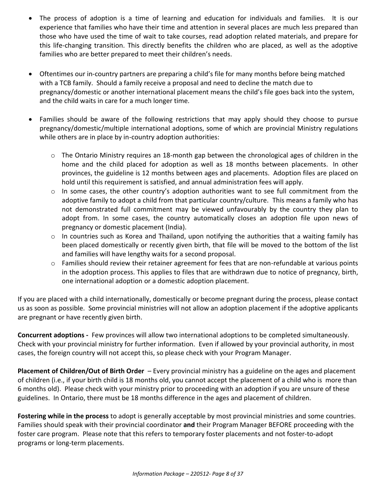- The process of adoption is a time of learning and education for individuals and families. It is our experience that families who have their time and attention in several places are much less prepared than those who have used the time of wait to take courses, read adoption related materials, and prepare for this life-changing transition. This directly benefits the children who are placed, as well as the adoptive families who are better prepared to meet their children's needs.
- Oftentimes our in-country partners are preparing a child's file for many months before being matched with a TCB family. Should a family receive a proposal and need to decline the match due to pregnancy/domestic or another international placement means the child's file goes back into the system, and the child waits in care for a much longer time.
- Families should be aware of the following restrictions that may apply should they choose to pursue pregnancy/domestic/multiple international adoptions, some of which are provincial Ministry regulations while others are in place by in-country adoption authorities:
	- o The Ontario Ministry requires an 18-month gap between the chronological ages of children in the home and the child placed for adoption as well as 18 months between placements. In other provinces, the guideline is 12 months between ages and placements. Adoption files are placed on hold until this requirement is satisfied, and annual administration fees will apply.
	- $\circ$  In some cases, the other country's adoption authorities want to see full commitment from the adoptive family to adopt a child from that particular country/culture. This means a family who has not demonstrated full commitment may be viewed unfavourably by the country they plan to adopt from. In some cases, the country automatically closes an adoption file upon news of pregnancy or domestic placement (India).
	- o In countries such as Korea and Thailand, upon notifying the authorities that a waiting family has been placed domestically or recently given birth, that file will be moved to the bottom of the list and families will have lengthy waits for a second proposal.
	- o Families should review their retainer agreement for fees that are non-refundable at various points in the adoption process. This applies to files that are withdrawn due to notice of pregnancy, birth, one international adoption or a domestic adoption placement.

If you are placed with a child internationally, domestically or become pregnant during the process, please contact us as soon as possible. Some provincial ministries will not allow an adoption placement if the adoptive applicants are pregnant or have recently given birth.

**Concurrent adoptions -** Few provinces will allow two international adoptions to be completed simultaneously. Check with your provincial ministry for further information. Even if allowed by your provincial authority, in most cases, the foreign country will not accept this, so please check with your Program Manager.

**Placement of Children/Out of Birth Order** – Every provincial ministry has a guideline on the ages and placement of children (i.e., if your birth child is 18 months old, you cannot accept the placement of a child who is more than 6 months old). Please check with your ministry prior to proceeding with an adoption if you are unsure of these guidelines. In Ontario, there must be 18 months difference in the ages and placement of children.

**Fostering while in the process** to adopt is generally acceptable by most provincial ministries and some countries. Families should speak with their provincial coordinator **and** their Program Manager BEFORE proceeding with the foster care program. Please note that this refers to temporary foster placements and not foster-to-adopt programs or long-term placements.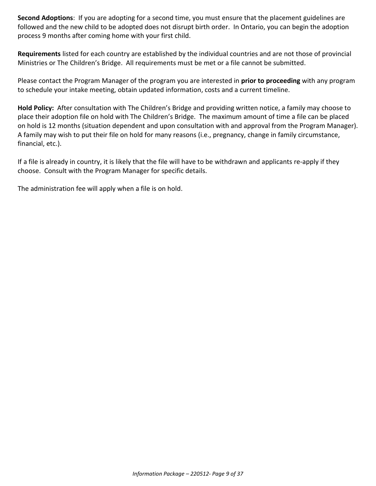**Second Adoptions**: If you are adopting for a second time, you must ensure that the placement guidelines are followed and the new child to be adopted does not disrupt birth order. In Ontario, you can begin the adoption process 9 months after coming home with your first child.

**Requirements** listed for each country are established by the individual countries and are not those of provincial Ministries or The Children's Bridge. All requirements must be met or a file cannot be submitted.

Please contact the Program Manager of the program you are interested in **prior to proceeding** with any program to schedule your intake meeting, obtain updated information, costs and a current timeline.

**Hold Policy:** After consultation with The Children's Bridge and providing written notice, a family may choose to place their adoption file on hold with The Children's Bridge. The maximum amount of time a file can be placed on hold is 12 months (situation dependent and upon consultation with and approval from the Program Manager). A family may wish to put their file on hold for many reasons (i.e., pregnancy, change in family circumstance, financial, etc.).

If a file is already in country, it is likely that the file will have to be withdrawn and applicants re-apply if they choose. Consult with the Program Manager for specific details.

The administration fee will apply when a file is on hold.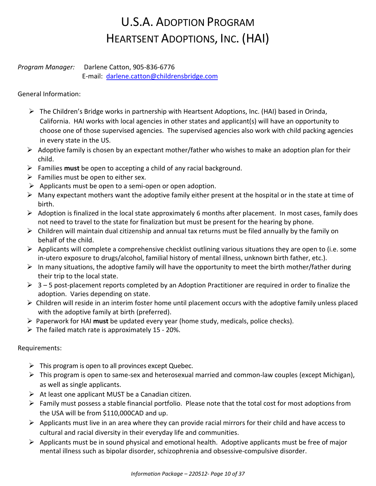### U.S.A. ADOPTION PROGRAM HEARTSENT ADOPTIONS, INC. (HAI)

#### *Program Manager:* Darlene Catton, 905-836-6776 E-mail: [darlene.catton@childrensbridge.com](mailto:darlene.catton@childrensbridge.com)

General Information:

- $\triangleright$  The Children's Bridge works in partnership with Heartsent Adoptions, Inc. (HAI) based in Orinda, California. HAI works with local agencies in other states and applicant(s) will have an opportunity to choose one of those supervised agencies. The supervised agencies also work with child packing agencies in every state in the US.
- $\triangleright$  Adoptive family is chosen by an expectant mother/father who wishes to make an adoption plan for their child.
- ➢ Families **must** be open to accepting a child of any racial background.
- $\triangleright$  Families must be open to either sex.
- $\triangleright$  Applicants must be open to a semi-open or open adoption.
- $\triangleright$  Many expectant mothers want the adoptive family either present at the hospital or in the state at time of birth.
- $\triangleright$  Adoption is finalized in the local state approximately 6 months after placement. In most cases, family does not need to travel to the state for finalization but must be present for the hearing by phone.
- ➢ Children will maintain dual citizenship and annual tax returns must be filed annually by the family on behalf of the child.
- $\triangleright$  Applicants will complete a comprehensive checklist outlining various situations they are open to (i.e. some in-utero exposure to drugs/alcohol, familial history of mental illness, unknown birth father, etc.).
- $\triangleright$  In many situations, the adoptive family will have the opportunity to meet the birth mother/father during their trip to the local state.
- $\triangleright$  3 5 post-placement reports completed by an Adoption Practitioner are required in order to finalize the adoption. Varies depending on state.
- ➢ Children will reside in an interim foster home until placement occurs with the adoptive family unless placed with the adoptive family at birth (preferred).
- ➢ Paperwork for HAI **must** be updated every year (home study, medicals, police checks).
- $\triangleright$  The failed match rate is approximately 15 20%.

Requirements:

- $\triangleright$  This program is open to all provinces except Quebec.
- $\triangleright$  This program is open to same-sex and heterosexual married and common-law couples (except Michigan), as well as single applicants.
- $\triangleright$  At least one applicant MUST be a Canadian citizen.
- $\triangleright$  Family must possess a stable financial portfolio. Please note that the total cost for most adoptions from the USA will be from \$110,000CAD and up.
- $\triangleright$  Applicants must live in an area where they can provide racial mirrors for their child and have access to cultural and racial diversity in their everyday life and communities.
- ➢ Applicants must be in sound physical and emotional health. Adoptive applicants must be free of major mental illness such as bipolar disorder, schizophrenia and obsessive-compulsive disorder.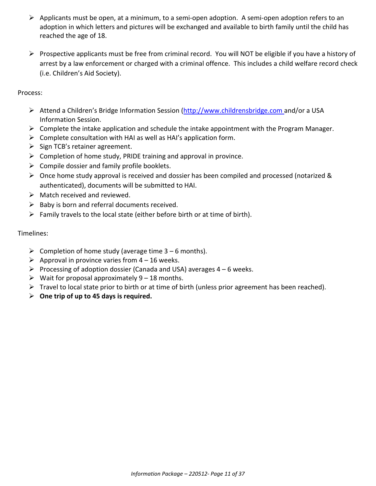- ➢ Applicants must be open, at a minimum, to a semi-open adoption. A semi-open adoption refers to an adoption in which letters and pictures will be exchanged and available to birth family until the child has reached the age of 18.
- ➢ Prospective applicants must be free from criminal record. You will NOT be eligible if you have a history of arrest by a law enforcement or charged with a criminal offence. This includes a child welfare record check (i.e. Children's Aid Society).

Process:

- ➢ Attend a Children's Bridge Information Session [\(http://www.childrensbridge.com](http://www.childrensbridge.com/) and/or a USA Information Session.
- ➢ Complete the intake application and schedule the intake appointment with the Program Manager.
- $\triangleright$  Complete consultation with HAI as well as HAI's application form.
- $\triangleright$  Sign TCB's retainer agreement.
- $\triangleright$  Completion of home study, PRIDE training and approval in province.
- $\triangleright$  Compile dossier and family profile booklets.
- $\triangleright$  Once home study approval is received and dossier has been compiled and processed (notarized & authenticated), documents will be submitted to HAI.
- $\triangleright$  Match received and reviewed.
- $\triangleright$  Baby is born and referral documents received.
- $\triangleright$  Family travels to the local state (either before birth or at time of birth).

#### Timelines:

- $\triangleright$  Completion of home study (average time 3 6 months).
- $\triangleright$  Approval in province varies from 4 16 weeks.
- $\triangleright$  Processing of adoption dossier (Canada and USA) averages 4 6 weeks.
- $\triangleright$  Wait for proposal approximately 9 18 months.
- $\triangleright$  Travel to local state prior to birth or at time of birth (unless prior agreement has been reached).
- ➢ **One trip of up to 45 days is required.**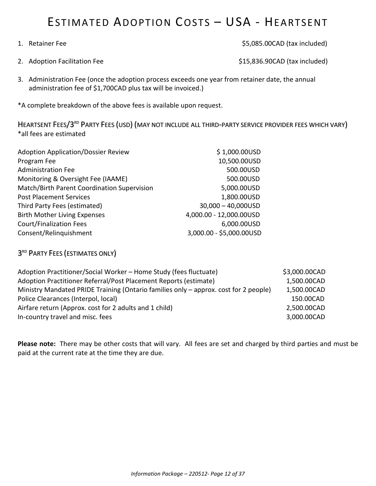### ESTIMATED ADOPTION COSTS – USA - HEARTSENT

1. Retainer Fee \$5,085.00CAD (tax included)

2. Adoption Facilitation Fee  $$15,836.90CAD$  (tax included)

3. Administration Fee (once the adoption process exceeds one year from retainer date, the annual administration fee of \$1,700CAD plus tax will be invoiced.)

\*A complete breakdown of the above fees is available upon request.

HEARTSENT FEES/3<sup>rd</sup> PARTY FEES (USD) (MAY NOT INCLUDE ALL THIRD-PARTY SERVICE PROVIDER FEES WHICH VARY) \*all fees are estimated

| <b>Adoption Application/Dossier Review</b>  | \$1,000.00USD            |
|---------------------------------------------|--------------------------|
| Program Fee                                 | 10,500.00USD             |
| <b>Administration Fee</b>                   | 500.00USD                |
| Monitoring & Oversight Fee (IAAME)          | 500.00USD                |
| Match/Birth Parent Coordination Supervision | 5,000.00USD              |
| <b>Post Placement Services</b>              | 1,800.00USD              |
| Third Party Fees (estimated)                | $30,000 - 40,000$ USD    |
| <b>Birth Mother Living Expenses</b>         | 4,000.00 - 12,000.00USD  |
| <b>Court/Finalization Fees</b>              | 6,000.00USD              |
| Consent/Relinguishment                      | 3,000.00 - \$5,000.00USD |
|                                             |                          |

### 3<sup>rd</sup> Party Fees (estimates only)

| Adoption Practitioner/Social Worker – Home Study (fees fluctuate)                    | \$3,000.00CAD |
|--------------------------------------------------------------------------------------|---------------|
| Adoption Practitioner Referral/Post Placement Reports (estimate)                     | 1,500.00CAD   |
| Ministry Mandated PRIDE Training (Ontario families only - approx. cost for 2 people) | 1,500.00CAD   |
| Police Clearances (Interpol, local)                                                  | 150.00CAD     |
| Airfare return (Approx. cost for 2 adults and 1 child)                               | 2,500.00CAD   |
| In-country travel and misc. fees                                                     | 3,000.00CAD   |

**Please note:** There may be other costs that will vary. All fees are set and charged by third parties and must be paid at the current rate at the time they are due.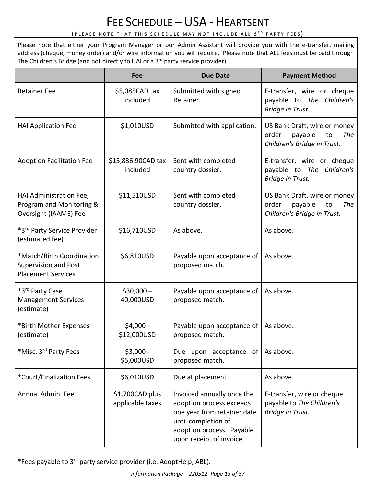### FEE SCHEDULE - USA - HEARTSENT

#### (PLEASE NOTE THAT THIS SCHEDULE MAY NOT INCLUDE ALL 3<sup>rd</sup> party fees)

Please note that either your Program Manager or our Admin Assistant will provide you with the e-transfer, mailing address (cheque, money order) and/or wire information you will require. Please note that ALL fees must be paid through The Children's Bridge (and not directly to HAI or a 3<sup>rd</sup> party service provider).

|                                                                                       | Fee                                 | <b>Due Date</b>                                                                                                                                                       | <b>Payment Method</b>                                                                        |
|---------------------------------------------------------------------------------------|-------------------------------------|-----------------------------------------------------------------------------------------------------------------------------------------------------------------------|----------------------------------------------------------------------------------------------|
| <b>Retainer Fee</b>                                                                   | \$5,085CAD tax<br>included          | Submitted with signed<br>Retainer.                                                                                                                                    | E-transfer, wire or cheque<br>payable to The Children's<br>Bridge in Trust.                  |
| <b>HAI Application Fee</b>                                                            | \$1,010USD                          | Submitted with application.                                                                                                                                           | US Bank Draft, wire or money<br>payable<br>The<br>order<br>to<br>Children's Bridge in Trust. |
| <b>Adoption Facilitation Fee</b>                                                      | \$15,836.90CAD tax<br>included      | Sent with completed<br>country dossier.                                                                                                                               | E-transfer, wire or cheque<br>payable to The Children's<br>Bridge in Trust.                  |
| HAI Administration Fee,<br>Program and Monitoring &<br>Oversight (IAAME) Fee          | \$11,510USD                         | Sent with completed<br>country dossier.                                                                                                                               | US Bank Draft, wire or money<br>payable<br>order<br>The<br>to<br>Children's Bridge in Trust. |
| *3rd Party Service Provider<br>(estimated fee)                                        | \$16,710USD                         | As above.                                                                                                                                                             | As above.                                                                                    |
| *Match/Birth Coordination<br><b>Supervision and Post</b><br><b>Placement Services</b> | \$6,810USD                          | Payable upon acceptance of<br>proposed match.                                                                                                                         | As above.                                                                                    |
| *3rd Party Case<br><b>Management Services</b><br>(estimate)                           | $$30,000-$<br>40,000USD             | Payable upon acceptance of<br>proposed match.                                                                                                                         | As above.                                                                                    |
| *Birth Mother Expenses<br>(estimate)                                                  | $$4,000 -$<br>\$12,000USD           | Payable upon acceptance of<br>proposed match.                                                                                                                         | As above.                                                                                    |
| *Misc. 3rd Party Fees                                                                 | $$3,000 -$<br>\$5,000USD            | Due upon acceptance of<br>proposed match.                                                                                                                             | As above.                                                                                    |
| *Court/Finalization Fees                                                              | \$6,010USD                          | Due at placement                                                                                                                                                      | As above.                                                                                    |
| Annual Admin, Fee                                                                     | \$1,700CAD plus<br>applicable taxes | Invoiced annually once the<br>adoption process exceeds<br>one year from retainer date<br>until completion of<br>adoption process. Payable<br>upon receipt of invoice. | E-transfer, wire or cheque<br>payable to The Children's<br>Bridge in Trust.                  |

\*Fees payable to 3<sup>rd</sup> party service provider (i.e. AdoptHelp, ABL).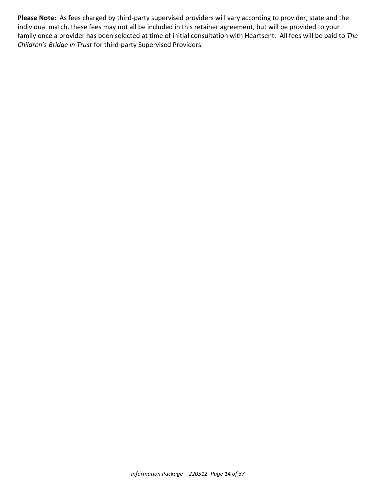**Please Note:** As fees charged by third-party supervised providers will vary according to provider, state and the individual match, these fees may not all be included in this retainer agreement, but will be provided to your family once a provider has been selected at time of initial consultation with Heartsent. All fees will be paid to *The Children's Bridge in Trust* for third-party Supervised Providers.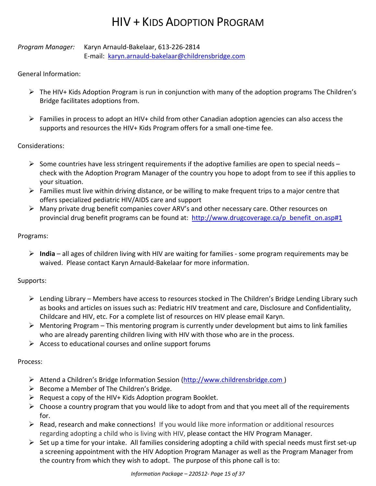### HIV + KIDS ADOPTION PROGRAM

*Program Manager:* Karyn Arnauld-Bakelaar, 613-226-2814 E-mail: [karyn.arnauld-bakelaar@childrensbridge.com](mailto:karyn.arnauld-bakelaar@childrensbridge.com)

#### General Information:

- $\triangleright$  The HIV+ Kids Adoption Program is run in conjunction with many of the adoption programs The Children's Bridge facilitates adoptions from.
- $\triangleright$  Families in process to adopt an HIV+ child from other Canadian adoption agencies can also access the supports and resources the HIV+ Kids Program offers for a small one-time fee.

#### Considerations:

- $\triangleright$  Some countries have less stringent requirements if the adoptive families are open to special needs check with the Adoption Program Manager of the country you hope to adopt from to see if this applies to your situation.
- $\triangleright$  Families must live within driving distance, or be willing to make frequent trips to a major centre that offers specialized pediatric HIV/AIDS care and support
- ➢ Many private drug benefit companies cover ARV's and other necessary care. Other resources on provincial drug benefit programs can be found at: [http://www.drugcoverage.ca/p\\_benefit\\_on.asp#1](http://www.drugcoverage.ca/p_benefit_on.asp#1)

#### Programs:

➢ **India** – all ages of children living with HIV are waiting for families - some program requirements may be waived. Please contact Karyn Arnauld-Bakelaar for more information.

#### Supports:

- ➢ Lending Library Members have access to resources stocked in The Children's Bridge Lending Library such as books and articles on issues such as: Pediatric HIV treatment and care, Disclosure and Confidentiality, Childcare and HIV, etc. For a complete list of resources on HIV please email Karyn.
- $\triangleright$  Mentoring Program This mentoring program is currently under development but aims to link families who are already parenting children living with HIV with those who are in the process.
- $\triangleright$  Access to educational courses and online support forums

#### Process:

- ➢ Attend a Children's Bridge Information Session (http://www.childrensbridge.com )
- $\triangleright$  Become a Member of The Children's Bridge.
- $\triangleright$  Request a copy of the HIV+ Kids Adoption program Booklet.
- $\triangleright$  Choose a country program that you would like to adopt from and that you meet all of the requirements for.
- ➢ Read, research and make connections! If you would like more information or additional resources regarding adopting a child who is living with HIV, please contact the HIV Program Manager.
- $\triangleright$  Set up a time for your intake. All families considering adopting a child with special needs must first set-up a screening appointment with the HIV Adoption Program Manager as well as the Program Manager from the country from which they wish to adopt. The purpose of this phone call is to: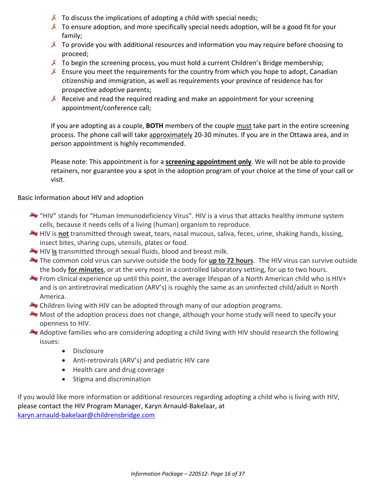- $\lambda$  To discuss the implications of adopting a child with special needs;
- $\lambda$  To ensure adoption, and more specifically special needs adoption, will be a good fit for your family;
- $\ell$  To provide you with additional resources and information you may require before choosing to proceed;
- $\ell$  To begin the screening process, you must hold a current Children's Bridge membership;
- Ensure you meet the requirements for the country from which you hope to adopt, Canadian citizenship and immigration, as well as requirements your province of residence has for prospective adoptive parents;
- **Receive and read the required reading and make an appointment for your screening** appointment/conference call;

If you are adopting as a couple, **BOTH** members of the couple must take part in the entire screening process. The phone call will take approximately 20-30 minutes. If you are in the Ottawa area, and in person appointment is highly recommended.

Please note: This appointment is for a **screening appointment only**. We will not be able to provide retainers, nor guarantee you a spot in the adoption program of your choice at the time of your call or visit.

Basic Information about HIV and adoption

- "HIV" stands for "Human Immunodeficiency Virus". HIV is a virus that attacks healthy immune system cells, because it needs cells of a living (human) organism to reproduce.
- **HIV** is **not** transmitted through sweat, tears, nasal mucous, saliva, feces, urine, shaking hands, kissing, insect bites, sharing cups, utensils, plates or food.
- HIV **is** transmitted through sexual fluids, blood and breast milk.
- The common cold virus can survive outside the body for **up to 72 hours**. The HIV virus can survive outside the body **for minutes**, or at the very most in a controlled laboratory setting, for up to two hours.
- From clinical experience up until this point, the average lifespan of a North American child who is HIV+ and is on antiretroviral medication (ARV's) is roughly the same as an uninfected child/adult in North America.
- Children living with HIV can be adopted through many of our adoption programs.
- Most of the adoption process does not change, although your home study will need to specify your openness to HIV.
- Adoptive families who are considering adopting a child living with HIV should research the following issues:
	- Disclosure
	- Anti-retrovirals (ARV's) and pediatric HIV care
	- Health care and drug coverage
	- Stigma and discrimination

If you would like more information or additional resources regarding adopting a child who is living with HIV, please contact the HIV Program Manager, Karyn Arnauld-Bakelaar, at [karyn.arnauld-bakelaar@childrensbridge.com](mailto:karyn.arnauld-bakelaar@childrensbridge.com)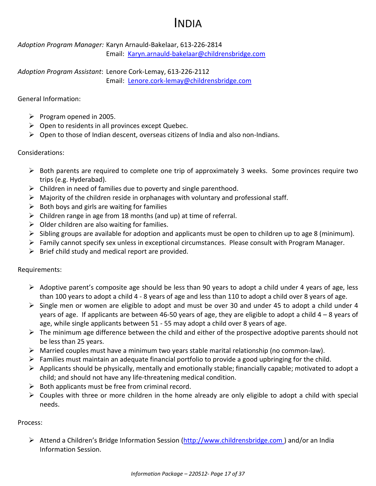### INDIA

*Adoption Program Manager:* Karyn Arnauld-Bakelaar, 613-226-2814 Email: [Karyn.arnauld-bakelaar@childrensbridge.com](mailto:Karyn.arnauld-bakelaar@childrensbridge.com)

*Adoption Program Assistant*: Lenore Cork-Lemay, 613-226-2112 Email: [Lenore.cork-lemay@childrensbridge.com](mailto:Lenore.cork-lemay@childrensbridge.com)

General Information:

- $\triangleright$  Program opened in 2005.
- $\triangleright$  Open to residents in all provinces except Quebec.
- ➢ Open to those of Indian descent, overseas citizens of India and also non-Indians.

#### Considerations:

- $\triangleright$  Both parents are required to complete one trip of approximately 3 weeks. Some provinces require two trips (e.g. Hyderabad).
- $\triangleright$  Children in need of families due to poverty and single parenthood.
- $\triangleright$  Majority of the children reside in orphanages with voluntary and professional staff.
- $\triangleright$  Both boys and girls are waiting for families
- $\triangleright$  Children range in age from 18 months (and up) at time of referral.
- $\triangleright$  Older children are also waiting for families.
- $\triangleright$  Sibling groups are available for adoption and applicants must be open to children up to age 8 (minimum).
- ➢ Family cannot specify sex unless in exceptional circumstances. Please consult with Program Manager.
- $\triangleright$  Brief child study and medical report are provided.

Requirements:

- $\triangleright$  Adoptive parent's composite age should be less than 90 years to adopt a child under 4 years of age, less than 100 years to adopt a child 4 - 8 years of age and less than 110 to adopt a child over 8 years of age.
- ➢ Single men or women are eligible to adopt and must be over 30 and under 45 to adopt a child under 4 years of age. If applicants are between 46-50 years of age, they are eligible to adopt a child 4 – 8 years of age, while single applicants between 51 - 55 may adopt a child over 8 years of age.
- $\triangleright$  The minimum age difference between the child and either of the prospective adoptive parents should not be less than 25 years.
- ➢ Married couples must have a minimum two years stable marital relationship (no common-law).
- $\triangleright$  Families must maintain an adequate financial portfolio to provide a good upbringing for the child.
- $\triangleright$  Applicants should be physically, mentally and emotionally stable; financially capable; motivated to adopt a child; and should not have any life-threatening medical condition.
- $\triangleright$  Both applicants must be free from criminal record.
- ➢ Couples with three or more children in the home already are only eligible to adopt a child with special needs.

#### Process:

➢ Attend a Children's Bridge Information Session (http://www.childrensbridge.com ) and/or an India Information Session.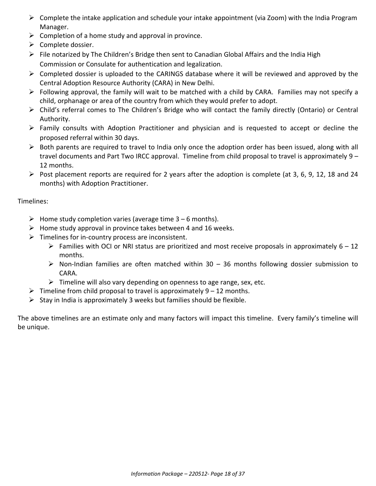- $\triangleright$  Complete the intake application and schedule your intake appointment (via Zoom) with the India Program Manager.
- $\triangleright$  Completion of a home study and approval in province.
- ➢ Complete dossier.
- ➢ File notarized by The Children's Bridge then sent to Canadian Global Affairs and the India High Commission or Consulate for authentication and legalization.
- ➢ Completed dossier is uploaded to the CARINGS database where it will be reviewed and approved by the Central Adoption Resource Authority (CARA) in New Delhi.
- $\triangleright$  Following approval, the family will wait to be matched with a child by CARA. Families may not specify a child, orphanage or area of the country from which they would prefer to adopt.
- ➢ Child's referral comes to The Children's Bridge who will contact the family directly (Ontario) or Central Authority.
- ➢ Family consults with Adoption Practitioner and physician and is requested to accept or decline the proposed referral within 30 days.
- ➢ Both parents are required to travel to India only once the adoption order has been issued, along with all travel documents and Part Two IRCC approval. Timeline from child proposal to travel is approximately 9 – 12 months.
- ➢ Post placement reports are required for 2 years after the adoption is complete (at 3, 6, 9, 12, 18 and 24 months) with Adoption Practitioner.

#### Timelines:

- $\triangleright$  Home study completion varies (average time 3 6 months).
- $\triangleright$  Home study approval in province takes between 4 and 16 weeks.
- $\triangleright$  Timelines for in-country process are inconsistent.
	- $\triangleright$  Families with OCI or NRI status are prioritized and most receive proposals in approximately 6 12 months.
	- $\triangleright$  Non-Indian families are often matched within 30 36 months following dossier submission to CARA.
	- $\triangleright$  Timeline will also vary depending on openness to age range, sex, etc.
- $\triangleright$  Timeline from child proposal to travel is approximately 9 12 months.
- $\triangleright$  Stay in India is approximately 3 weeks but families should be flexible.

The above timelines are an estimate only and many factors will impact this timeline. Every family's timeline will be unique.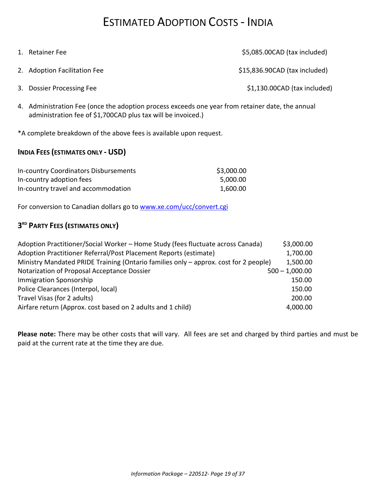### ESTIMATED ADOPTION COSTS - INDIA

| 1. Retainer Fee              | \$5,085.00CAD (tax included)  |
|------------------------------|-------------------------------|
| 2. Adoption Facilitation Fee | \$15,836.90CAD (tax included) |
| 3. Dossier Processing Fee    | \$1,130.00CAD (tax included)  |

4. Administration Fee (once the adoption process exceeds one year from retainer date, the annual administration fee of \$1,700CAD plus tax will be invoiced.)

\*A complete breakdown of the above fees is available upon request.

#### **INDIA FEES (ESTIMATES ONLY - USD)**

| <b>In-country Coordinators Disbursements</b> | \$3,000.00 |
|----------------------------------------------|------------|
| In-country adoption fees                     | 5,000.00   |
| In-country travel and accommodation          | 1,600.00   |

For conversion to Canadian dollars go to [www.xe.com/ucc/convert.cgi](http://www.xe.com/ucc/convert.cgi)

#### **3 RD PARTY FEES (ESTIMATES ONLY)**

| Adoption Practitioner/Social Worker - Home Study (fees fluctuate across Canada)      | \$3,000.00       |
|--------------------------------------------------------------------------------------|------------------|
| Adoption Practitioner Referral/Post Placement Reports (estimate)                     | 1,700.00         |
| Ministry Mandated PRIDE Training (Ontario families only - approx. cost for 2 people) | 1,500.00         |
| Notarization of Proposal Acceptance Dossier                                          | $500 - 1,000.00$ |
| <b>Immigration Sponsorship</b>                                                       | 150.00           |
| Police Clearances (Interpol, local)                                                  | 150.00           |
| Travel Visas (for 2 adults)                                                          | 200.00           |
| Airfare return (Approx. cost based on 2 adults and 1 child)                          | 4,000.00         |

**Please note:** There may be other costs that will vary. All fees are set and charged by third parties and must be paid at the current rate at the time they are due.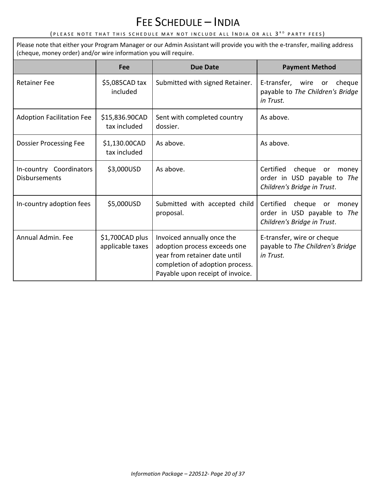### FEE SCHEDULE – INDIA

#### (PLEASE NOTE THAT THIS SCHEDULE MAY NOT INCLUDE ALL INDIA OR ALL 3<sup>rd</sup> party fees)

Please note that either your Program Manager or our Admin Assistant will provide you with the e-transfer, mailing address (cheque, money order) and/or wire information you will require.

|                                                 | Fee                                 | <b>Due Date</b>                                                                                                                                                    | <b>Payment Method</b>                                                                             |
|-------------------------------------------------|-------------------------------------|--------------------------------------------------------------------------------------------------------------------------------------------------------------------|---------------------------------------------------------------------------------------------------|
| <b>Retainer Fee</b>                             | \$5,085CAD tax<br>included          | Submitted with signed Retainer.                                                                                                                                    | E-transfer, wire<br>cheque<br>or<br>payable to The Children's Bridge<br>in Trust.                 |
| <b>Adoption Facilitation Fee</b>                | \$15,836.90CAD<br>tax included      | Sent with completed country<br>dossier.                                                                                                                            | As above.                                                                                         |
| <b>Dossier Processing Fee</b>                   | \$1,130.00CAD<br>tax included       | As above.                                                                                                                                                          | As above.                                                                                         |
| In-country Coordinators<br><b>Disbursements</b> | \$3,000USD                          | As above.                                                                                                                                                          | Certified<br>cheque<br>or<br>money<br>order in USD payable to The<br>Children's Bridge in Trust.  |
| In-country adoption fees                        | \$5,000USD                          | Submitted with accepted child<br>proposal.                                                                                                                         | Certified<br>cheque<br>money<br>or.<br>order in USD payable to The<br>Children's Bridge in Trust. |
| Annual Admin, Fee                               | \$1,700CAD plus<br>applicable taxes | Invoiced annually once the<br>adoption process exceeds one<br>year from retainer date until<br>completion of adoption process.<br>Payable upon receipt of invoice. | E-transfer, wire or cheque<br>payable to The Children's Bridge<br>in Trust.                       |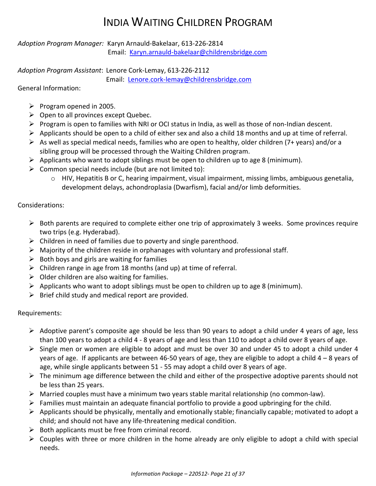### INDIA WAITING CHILDREN PROGRAM

*Adoption Program Manager:* Karyn Arnauld-Bakelaar, 613-226-2814 Email: [Karyn.arnauld-bakelaar@childrensbridge.com](mailto:Karyn.arnauld-bakelaar@childrensbridge.com)

*Adoption Program Assistant*: Lenore Cork-Lemay, 613-226-2112

Email: [Lenore.cork-lemay@childrensbridge.com](mailto:Lenore.cork-lemay@childrensbridge.com)

General Information:

- ➢ Program opened in 2005.
- $\triangleright$  Open to all provinces except Quebec.
- ➢ Program is open to families with NRI or OCI status in India, as well as those of non-Indian descent.
- $\triangleright$  Applicants should be open to a child of either sex and also a child 18 months and up at time of referral.
- $\triangleright$  As well as special medical needs, families who are open to healthy, older children (7+ years) and/or a sibling group will be processed through the Waiting Children program.
- $\triangleright$  Applicants who want to adopt siblings must be open to children up to age 8 (minimum).
- $\triangleright$  Common special needs include (but are not limited to):
	- $\circ$  HIV, Hepatitis B or C, hearing impairment, visual impairment, missing limbs, ambiguous genetalia, development delays, achondroplasia (Dwarfism), facial and/or limb deformities.

#### Considerations:

- $\triangleright$  Both parents are required to complete either one trip of approximately 3 weeks. Some provinces require two trips (e.g. Hyderabad).
- $\triangleright$  Children in need of families due to poverty and single parenthood.
- $\triangleright$  Majority of the children reside in orphanages with voluntary and professional staff.
- $\triangleright$  Both boys and girls are waiting for families
- $\triangleright$  Children range in age from 18 months (and up) at time of referral.
- $\triangleright$  Older children are also waiting for families.
- $\triangleright$  Applicants who want to adopt siblings must be open to children up to age 8 (minimum).
- $\triangleright$  Brief child study and medical report are provided.

#### Requirements:

- ➢ Adoptive parent's composite age should be less than 90 years to adopt a child under 4 years of age, less than 100 years to adopt a child 4 - 8 years of age and less than 110 to adopt a child over 8 years of age.
- ➢ Single men or women are eligible to adopt and must be over 30 and under 45 to adopt a child under 4 years of age. If applicants are between 46-50 years of age, they are eligible to adopt a child 4 – 8 years of age, while single applicants between 51 - 55 may adopt a child over 8 years of age.
- ➢ The minimum age difference between the child and either of the prospective adoptive parents should not be less than 25 years.
- $\triangleright$  Married couples must have a minimum two years stable marital relationship (no common-law).
- $\triangleright$  Families must maintain an adequate financial portfolio to provide a good upbringing for the child.
- ➢ Applicants should be physically, mentally and emotionally stable; financially capable; motivated to adopt a child; and should not have any life-threatening medical condition.
- $\triangleright$  Both applicants must be free from criminal record.
- $\triangleright$  Couples with three or more children in the home already are only eligible to adopt a child with special needs.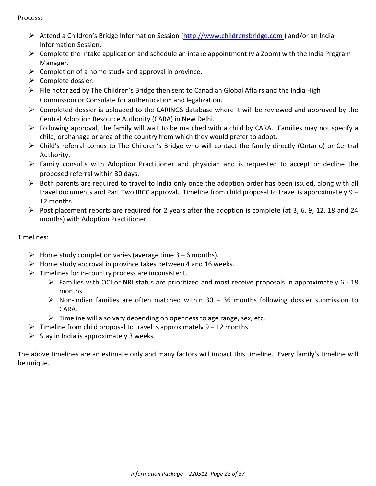Process:

- ➢ Attend a Children's Bridge Information Session (http://www.childrensbridge.com ) and/or an India Information Session.
- ➢ Complete the intake application and schedule an intake appointment (via Zoom) with the India Program Manager.
- $\triangleright$  Completion of a home study and approval in province.
- ➢ Complete dossier.
- ➢ File notarized by The Children's Bridge then sent to Canadian Global Affairs and the India High Commission or Consulate for authentication and legalization.
- $\triangleright$  Completed dossier is uploaded to the CARINGS database where it will be reviewed and approved by the Central Adoption Resource Authority (CARA) in New Delhi.
- ➢ Following approval, the family will wait to be matched with a child by CARA. Families may not specify a child, orphanage or area of the country from which they would prefer to adopt.
- ➢ Child's referral comes to The Children's Bridge who will contact the family directly (Ontario) or Central Authority.
- $\triangleright$  Family consults with Adoption Practitioner and physician and is requested to accept or decline the proposed referral within 30 days.
- $\triangleright$  Both parents are required to travel to India only once the adoption order has been issued, along with all travel documents and Part Two IRCC approval. Timeline from child proposal to travel is approximately 9 – 12 months.
- $\triangleright$  Post placement reports are required for 2 years after the adoption is complete (at 3, 6, 9, 12, 18 and 24 months) with Adoption Practitioner.

Timelines:

- $\triangleright$  Home study completion varies (average time 3 6 months).
- $\triangleright$  Home study approval in province takes between 4 and 16 weeks.
- $\triangleright$  Timelines for in-country process are inconsistent.
	- $\triangleright$  Families with OCI or NRI status are prioritized and most receive proposals in approximately 6 18 months.
	- $\triangleright$  Non-Indian families are often matched within 30 36 months following dossier submission to CARA.
	- $\triangleright$  Timeline will also vary depending on openness to age range, sex, etc.
- $\triangleright$  Timeline from child proposal to travel is approximately 9 12 months.
- $\triangleright$  Stay in India is approximately 3 weeks.

The above timelines are an estimate only and many factors will impact this timeline. Every family's timeline will be unique.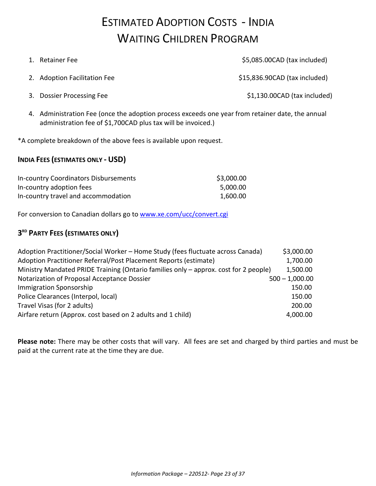### ESTIMATED ADOPTION COSTS - INDIA WAITING CHILDREN PROGRAM

| 1. Retainer Fee              | \$5,085.00CAD (tax included)  |
|------------------------------|-------------------------------|
| 2. Adoption Facilitation Fee | \$15,836.90CAD (tax included) |
| 3. Dossier Processing Fee    | \$1,130.00CAD (tax included)  |

4. Administration Fee (once the adoption process exceeds one year from retainer date, the annual administration fee of \$1,700CAD plus tax will be invoiced.)

\*A complete breakdown of the above fees is available upon request.

#### **INDIA FEES (ESTIMATES ONLY - USD)**

| <b>In-country Coordinators Disbursements</b> | \$3,000.00 |
|----------------------------------------------|------------|
| In-country adoption fees                     | 5,000.00   |
| In-country travel and accommodation          | 1,600.00   |

For conversion to Canadian dollars go to [www.xe.com/ucc/convert.cgi](http://www.xe.com/ucc/convert.cgi)

### **3 RD PARTY FEES (ESTIMATES ONLY)**

| Adoption Practitioner/Social Worker - Home Study (fees fluctuate across Canada)      | \$3,000.00       |
|--------------------------------------------------------------------------------------|------------------|
| Adoption Practitioner Referral/Post Placement Reports (estimate)                     | 1,700.00         |
| Ministry Mandated PRIDE Training (Ontario families only - approx. cost for 2 people) | 1,500.00         |
| Notarization of Proposal Acceptance Dossier                                          | $500 - 1,000.00$ |
| <b>Immigration Sponsorship</b>                                                       | 150.00           |
| Police Clearances (Interpol, local)                                                  | 150.00           |
| Travel Visas (for 2 adults)                                                          | 200.00           |
| Airfare return (Approx. cost based on 2 adults and 1 child)                          | 4,000.00         |

**Please note:** There may be other costs that will vary. All fees are set and charged by third parties and must be paid at the current rate at the time they are due.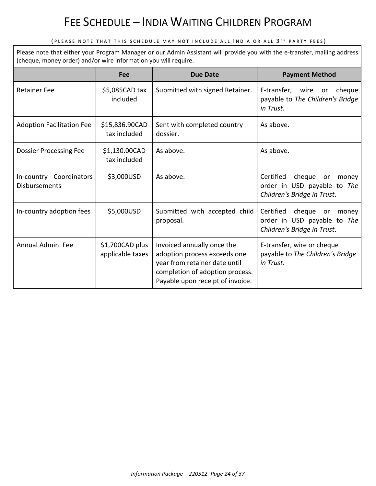### FEE SCHEDULE – INDIA WAITING CHILDREN PROGRAM

#### (PLEASE NOTE THAT THIS SCHEDULE MAY NOT INCLUDE ALL INDIA OR ALL 3<sup>rd</sup> party fees)

Please note that either your Program Manager or our Admin Assistant will provide you with the e-transfer, mailing address (cheque, money order) and/or wire information you will require.

|                                                 | <b>Fee</b>                          | <b>Due Date</b>                                                                                                                                                    | <b>Payment Method</b>                                                                            |
|-------------------------------------------------|-------------------------------------|--------------------------------------------------------------------------------------------------------------------------------------------------------------------|--------------------------------------------------------------------------------------------------|
| <b>Retainer Fee</b>                             | \$5,085CAD tax<br>included          | Submitted with signed Retainer.                                                                                                                                    | E-transfer,<br>wire<br>cheque<br>or<br>payable to The Children's Bridge<br>in Trust.             |
| <b>Adoption Facilitation Fee</b>                | \$15,836.90CAD<br>tax included      | Sent with completed country<br>dossier.                                                                                                                            | As above.                                                                                        |
| <b>Dossier Processing Fee</b>                   | \$1,130.00CAD<br>tax included       | As above.                                                                                                                                                          | As above.                                                                                        |
| In-country Coordinators<br><b>Disbursements</b> | \$3,000USD                          | As above.                                                                                                                                                          | Certified<br>cheque<br>or<br>money<br>order in USD payable to The<br>Children's Bridge in Trust. |
| In-country adoption fees                        | \$5,000USD                          | Submitted with accepted child<br>proposal.                                                                                                                         | Certified<br>cheque<br>or<br>money<br>order in USD payable to The<br>Children's Bridge in Trust. |
| Annual Admin. Fee                               | \$1,700CAD plus<br>applicable taxes | Invoiced annually once the<br>adoption process exceeds one<br>year from retainer date until<br>completion of adoption process.<br>Payable upon receipt of invoice. | E-transfer, wire or cheque<br>payable to The Children's Bridge<br>in Trust.                      |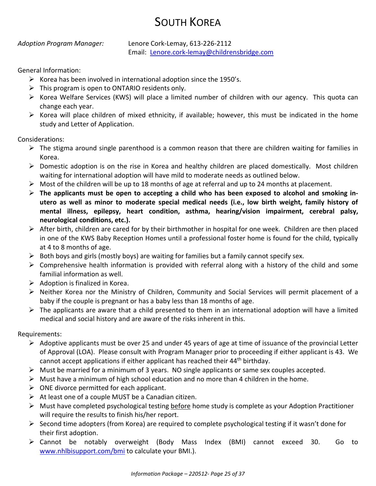### SOUTH KOREA

*Adoption Program Manager:* Lenore Cork-Lemay, 613-226-2112 Email: [Lenore.cork-lemay@childrensbridge.com](mailto:Lenore.cork-lemay@childrensbridge.com)

General Information:

- $\triangleright$  Korea has been involved in international adoption since the 1950's.
- $\triangleright$  This program is open to ONTARIO residents only.
- ➢ Korea Welfare Services (KWS) will place a limited number of children with our agency. This quota can change each year.
- $\triangleright$  Korea will place children of mixed ethnicity, if available; however, this must be indicated in the home study and Letter of Application.

Considerations:

- $\triangleright$  The stigma around single parenthood is a common reason that there are children waiting for families in Korea.
- $\triangleright$  Domestic adoption is on the rise in Korea and healthy children are placed domestically. Most children waiting for international adoption will have mild to moderate needs as outlined below.
- $\triangleright$  Most of the children will be up to 18 months of age at referral and up to 24 months at placement.
- ➢ **The applicants must be open to accepting a child who has been exposed to alcohol and smoking inutero as well as minor to moderate special medical needs (i.e., low birth weight, family history of mental illness, epilepsy, heart condition, asthma, hearing/vision impairment, cerebral palsy, neurological conditions, etc.).**
- ➢ After birth, children are cared for by their birthmother in hospital for one week. Children are then placed in one of the KWS Baby Reception Homes until a professional foster home is found for the child, typically at 4 to 8 months of age.
- $\triangleright$  Both boys and girls (mostly boys) are waiting for families but a family cannot specify sex.
- $\triangleright$  Comprehensive health information is provided with referral along with a history of the child and some familial information as well.
- $\triangleright$  Adoption is finalized in Korea.
- ➢ Neither Korea nor the Ministry of Children, Community and Social Services will permit placement of a baby if the couple is pregnant or has a baby less than 18 months of age.
- $\triangleright$  The applicants are aware that a child presented to them in an international adoption will have a limited medical and social history and are aware of the risks inherent in this.

Requirements:

- $\triangleright$  Adoptive applicants must be over 25 and under 45 years of age at time of issuance of the provincial Letter of Approval (LOA). Please consult with Program Manager prior to proceeding if either applicant is 43. We cannot accept applications if either applicant has reached their 44<sup>th</sup> birthday.
- $\triangleright$  Must be married for a minimum of 3 years. NO single applicants or same sex couples accepted.
- $\triangleright$  Must have a minimum of high school education and no more than 4 children in the home.
- $\triangleright$  ONE divorce permitted for each applicant.
- $\triangleright$  At least one of a couple MUST be a Canadian citizen.
- ➢ Must have completed psychological testing before home study is complete as your Adoption Practitioner will require the results to finish his/her report.
- $\triangleright$  Second time adopters (from Korea) are required to complete psychological testing if it wasn't done for their first adoption.
- ➢ Cannot be notably overweight (Body Mass Index (BMI) cannot exceed 30. Go to [www.nhlbisupport.com/bmi](http://www.nhlbisupport.com/bmi) to calculate your BMI.).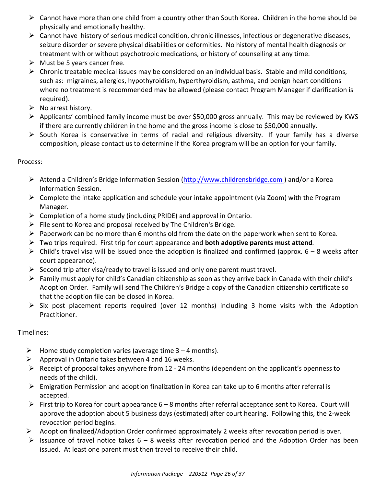- $\triangleright$  Cannot have more than one child from a country other than South Korea. Children in the home should be physically and emotionally healthy.
- ➢ Cannot have history of serious medical condition, chronic illnesses, infectious or degenerative diseases, seizure disorder or severe physical disabilities or deformities. No history of mental health diagnosis or treatment with or without psychotropic medications, or history of counselling at any time.
- $\triangleright$  Must be 5 years cancer free.
- $\triangleright$  Chronic treatable medical issues may be considered on an individual basis. Stable and mild conditions, such as: migraines, allergies, hypothyroidism, hyperthyroidism, asthma, and benign heart conditions where no treatment is recommended may be allowed (please contact Program Manager if clarification is required).
- $\triangleright$  No arrest history.
- ➢ Applicants' combined family income must be over \$50,000 gross annually. This may be reviewed by KWS if there are currently children in the home and the gross income is close to \$50,000 annually.
- ➢ South Korea is conservative in terms of racial and religious diversity. If your family has a diverse composition, please contact us to determine if the Korea program will be an option for your family.

#### Process:

- ➢ Attend a Children's Bridge Information Session (http://www.childrensbridge.com ) and/or a Korea Information Session.
- $\triangleright$  Complete the intake application and schedule your intake appointment (via Zoom) with the Program Manager.
- $\triangleright$  Completion of a home study (including PRIDE) and approval in Ontario.
- $\triangleright$  File sent to Korea and proposal received by The Children's Bridge.
- $\triangleright$  Paperwork can be no more than 6 months old from the date on the paperwork when sent to Korea.
- ➢ Two trips required. First trip for court appearance and **both adoptive parents must attend***.*
- $\triangleright$  Child's travel visa will be issued once the adoption is finalized and confirmed (approx. 6 8 weeks after court appearance).
- $\triangleright$  Second trip after visa/ready to travel is issued and only one parent must travel.
- ➢ Family must apply for child's Canadian citizenship as soon as they arrive back in Canada with their child's Adoption Order. Family will send The Children's Bridge a copy of the Canadian citizenship certificate so that the adoption file can be closed in Korea.
- ➢ Six post placement reports required (over 12 months) including 3 home visits with the Adoption Practitioner.

#### Timelines:

- $\triangleright$  Home study completion varies (average time 3 4 months).
- $\triangleright$  Approval in Ontario takes between 4 and 16 weeks.
- $\triangleright$  Receipt of proposal takes anywhere from 12 24 months (dependent on the applicant's openness to needs of the child).
- ➢ Emigration Permission and adoption finalization in Korea can take up to 6 months after referral is accepted.
- ➢ First trip to Korea for court appearance 6 8 months after referral acceptance sent to Korea. Court will approve the adoption about 5 business days (estimated) after court hearing. Following this, the 2-week revocation period begins.
- ➢ Adoption finalized/Adoption Order confirmed approximately 2 weeks after revocation period is over.
- $\triangleright$  Issuance of travel notice takes 6 8 weeks after revocation period and the Adoption Order has been issued. At least one parent must then travel to receive their child.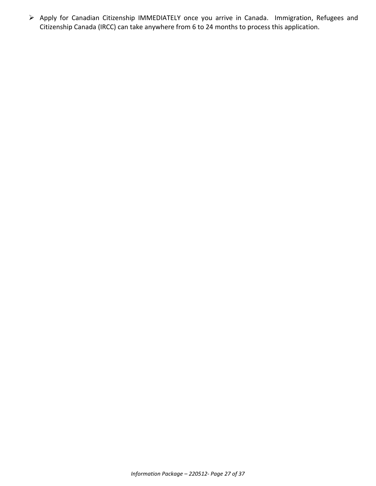➢ Apply for Canadian Citizenship IMMEDIATELY once you arrive in Canada. Immigration, Refugees and Citizenship Canada (IRCC) can take anywhere from 6 to 24 months to process this application.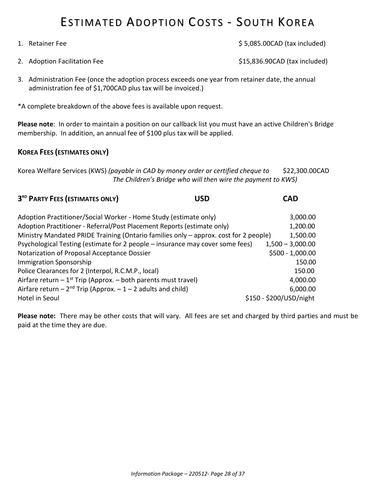### ESTIMATED ADOPTION COSTS - SOUTH KOREA

| 2. Adoption Facilitation Fee                                                                                                                                                             | \$15,836.90CAD (tax included) |  |  |
|------------------------------------------------------------------------------------------------------------------------------------------------------------------------------------------|-------------------------------|--|--|
| 3. Administration Fee (once the adoption process exceeds one year from retainer date, the annual<br>administration fee of \$1,700CAD plus tax will be invoiced.)                         |                               |  |  |
| *A complete breakdown of the above fees is available upon request.                                                                                                                       |                               |  |  |
| Please note: In order to maintain a position on our callback list you must have an active Children's Bridge<br>membership. In addition, an annual fee of \$100 plus tax will be applied. |                               |  |  |
| <b>KOREA FEES (ESTIMATES ONLY)</b>                                                                                                                                                       |                               |  |  |

1. Retainer Fee \$ 5,085.00CAD (tax included)

Korea Welfare Services (KWS) *(payable in CAD by money order or certified cheque to* \$22,300.00CAD  *The Children's Bridge who will then wire the payment to KWS)*

**3 RD PARTY FEES (ESTIMATES ONLY) USD CAD**

| Adoption Practitioner/Social Worker - Home Study (estimate only)                     | 3,000.00                |
|--------------------------------------------------------------------------------------|-------------------------|
| Adoption Practitioner - Referral/Post Placement Reports (estimate only)              | 1,200.00                |
| Ministry Mandated PRIDE Training (Ontario families only - approx. cost for 2 people) | 1,500.00                |
| Psychological Testing (estimate for 2 people – insurance may cover some fees)        | $1,500 - 3,000.00$      |
| Notarization of Proposal Acceptance Dossier                                          | $$500 - 1,000.00$       |
| <b>Immigration Sponsorship</b>                                                       | 150.00                  |
| Police Clearances for 2 (Interpol, R.C.M.P., local)                                  | 150.00                  |
| Airfare return $-1^{st}$ Trip (Approx. $-$ both parents must travel)                 | 4,000.00                |
| Airfare return – $2^{nd}$ Trip (Approx. – 1 – 2 adults and child)                    | 6,000.00                |
| Hotel in Seoul                                                                       | \$150 - \$200/USD/night |

**Please note:** There may be other costs that will vary. All fees are set and charged by third parties and must be paid at the time they are due.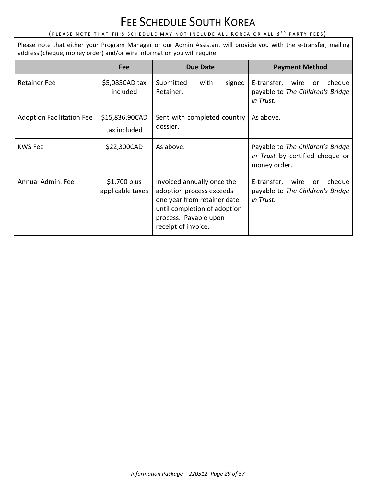### FEE SCHEDULE SOUTH KOREA

#### (PLEASE NOTE THAT THIS SCHEDULE MAY NOT INCLUDE ALL  $\,$ KOREA OR ALL  $\,3\,^{\text{{\tiny R}}\text{{\tiny D}}}$  party fees)

Please note that either your Program Manager or our Admin Assistant will provide you with the e-transfer, mailing address (cheque, money order) and/or wire information you will require.

|                                  | Fee                               | <b>Due Date</b>                                                                                                                                                       | <b>Payment Method</b>                                                               |
|----------------------------------|-----------------------------------|-----------------------------------------------------------------------------------------------------------------------------------------------------------------------|-------------------------------------------------------------------------------------|
| <b>Retainer Fee</b>              | \$5,085CAD tax<br>included        | Submitted<br>signed<br>with<br>Retainer.                                                                                                                              | E-transfer, wire<br>cheque<br>or<br>payable to The Children's Bridge<br>in Trust.   |
| <b>Adoption Facilitation Fee</b> | \$15,836.90CAD<br>tax included    | Sent with completed country<br>dossier.                                                                                                                               | As above.                                                                           |
| KWS Fee                          | \$22,300CAD                       | As above.                                                                                                                                                             | Payable to The Children's Bridge<br>In Trust by certified cheque or<br>money order. |
| Annual Admin. Fee                | $$1,700$ plus<br>applicable taxes | Invoiced annually once the<br>adoption process exceeds<br>one year from retainer date<br>until completion of adoption<br>process. Payable upon<br>receipt of invoice. | E-transfer, wire<br>cheque<br>or<br>payable to The Children's Bridge<br>in Trust.   |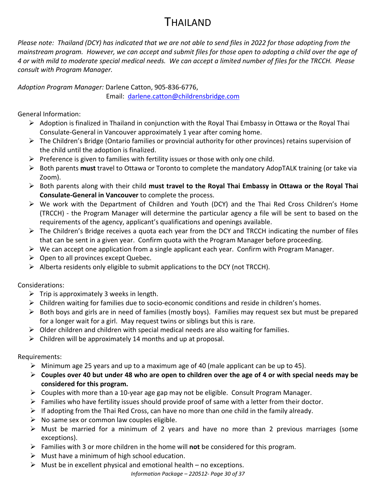### THAILAND

*Please note: Thailand (DCY) has indicated that we are not able to send files in 2022 for those adopting from the mainstream program. However, we can accept and submit files for those open to adopting a child over the age of 4 or with mild to moderate special medical needs. We can accept a limited number of files for the TRCCH. Please consult with Program Manager.*

*Adoption Program Manager:* Darlene Catton, 905-836-6776, Email: [darlene.catton@childrensbridge.com](mailto:darlene.catton@childrensbridge.com)

General Information:

- $\triangleright$  Adoption is finalized in Thailand in conjunction with the Royal Thai Embassy in Ottawa or the Royal Thai Consulate-General in Vancouver approximately 1 year after coming home.
- ➢ The Children's Bridge (Ontario families or provincial authority for other provinces) retains supervision of the child until the adoption is finalized.
- $\triangleright$  Preference is given to families with fertility issues or those with only one child.
- ➢ Both parents **must** travel to Ottawa or Toronto to complete the mandatory AdopTALK training (or take via Zoom).
- ➢ Both parents along with their child **must travel to the Royal Thai Embassy in Ottawa or the Royal Thai Consulate-General in Vancouver** to complete the process.
- ➢ We work with the Department of Children and Youth (DCY) and the Thai Red Cross Children's Home (TRCCH) - the Program Manager will determine the particular agency a file will be sent to based on the requirements of the agency, applicant's qualifications and openings available.
- $\triangleright$  The Children's Bridge receives a quota each year from the DCY and TRCCH indicating the number of files that can be sent in a given year. Confirm quota with the Program Manager before proceeding.
- $\triangleright$  We can accept one application from a single applicant each year. Confirm with Program Manager.
- $\triangleright$  Open to all provinces except Quebec.
- $\triangleright$  Alberta residents only eligible to submit applications to the DCY (not TRCCH).

Considerations:

- $\triangleright$  Trip is approximately 3 weeks in length.
- ➢ Children waiting for families due to socio-economic conditions and reside in children's homes.
- $\triangleright$  Both boys and girls are in need of families (mostly boys). Families may request sex but must be prepared for a longer wait for a girl. May request twins or siblings but this is rare.
- $\triangleright$  Older children and children with special medical needs are also waiting for families.
- $\triangleright$  Children will be approximately 14 months and up at proposal.

Requirements:

- $\triangleright$  Minimum age 25 years and up to a maximum age of 40 (male applicant can be up to 45).
- ➢ **Couples over 40 but under 48 who are open to children over the age of 4 or with special needs may be considered for this program.**
- $\triangleright$  Couples with more than a 10-year age gap may not be eligible. Consult Program Manager.
- $\triangleright$  Families who have fertility issues should provide proof of same with a letter from their doctor.
- $\triangleright$  If adopting from the Thai Red Cross, can have no more than one child in the family already.
- $\triangleright$  No same sex or common law couples eligible.
- $\triangleright$  Must be married for a minimum of 2 years and have no more than 2 previous marriages (some exceptions).
- ➢ Families with 3 or more children in the home will **not** be considered for this program.
- $\triangleright$  Must have a minimum of high school education.
- $\triangleright$  Must be in excellent physical and emotional health no exceptions.

*Information Package – 220512- Page 30 of 37*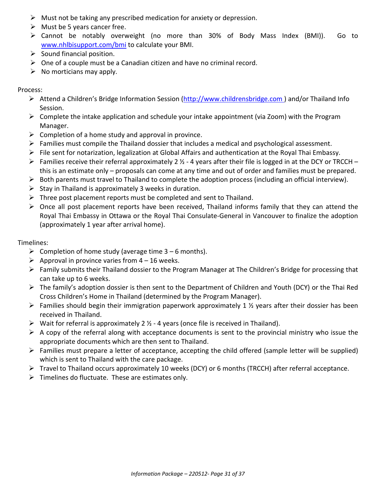- $\triangleright$  Must not be taking any prescribed medication for anxiety or depression.
- $\triangleright$  Must be 5 years cancer free.
- ➢ Cannot be notably overweight (no more than 30% of Body Mass Index (BMI)). Go to [www.nhlbisupport.com/bmi](http://www.nhlbisupport.com/bmi) to calculate your BMI.
- $\triangleright$  Sound financial position.
- $\triangleright$  One of a couple must be a Canadian citizen and have no criminal record.
- $\triangleright$  No morticians may apply.

#### Process:

- ➢ Attend a Children's Bridge Information Session (http://www.childrensbridge.com ) and/or Thailand Info Session.
- $\triangleright$  Complete the intake application and schedule your intake appointment (via Zoom) with the Program Manager.
- $\triangleright$  Completion of a home study and approval in province.
- ➢ Families must compile the Thailand dossier that includes a medical and psychological assessment.
- $\triangleright$  File sent for notarization, legalization at Global Affairs and authentication at the Royal Thai Embassy.
- $\triangleright$  Families receive their referral approximately 2  $\frac{1}{2}$  4 years after their file is logged in at the DCY or TRCCH this is an estimate only – proposals can come at any time and out of order and families must be prepared.
- $\triangleright$  Both parents must travel to Thailand to complete the adoption process (including an official interview).
- $\triangleright$  Stay in Thailand is approximately 3 weeks in duration.
- $\triangleright$  Three post placement reports must be completed and sent to Thailand.
- $\triangleright$  Once all post placement reports have been received, Thailand informs family that they can attend the Royal Thai Embassy in Ottawa or the Royal Thai Consulate-General in Vancouver to finalize the adoption (approximately 1 year after arrival home).

#### Timelines:

- $\triangleright$  Completion of home study (average time 3 6 months).
- $\triangleright$  Approval in province varies from 4 16 weeks.
- ➢ Family submits their Thailand dossier to the Program Manager at The Children's Bridge for processing that can take up to 6 weeks.
- ➢ The family's adoption dossier is then sent to the Department of Children and Youth (DCY) or the Thai Red Cross Children's Home in Thailand (determined by the Program Manager).
- $\triangleright$  Families should begin their immigration paperwork approximately 1 % years after their dossier has been received in Thailand.
- $\triangleright$  Wait for referral is approximately 2  $\frac{1}{2}$  4 years (once file is received in Thailand).
- $\triangleright$  A copy of the referral along with acceptance documents is sent to the provincial ministry who issue the appropriate documents which are then sent to Thailand.
- ➢ Families must prepare a letter of acceptance, accepting the child offered (sample letter will be supplied) which is sent to Thailand with the care package.
- ➢ Travel to Thailand occurs approximately 10 weeks (DCY) or 6 months (TRCCH) after referral acceptance.
- $\triangleright$  Timelines do fluctuate. These are estimates only.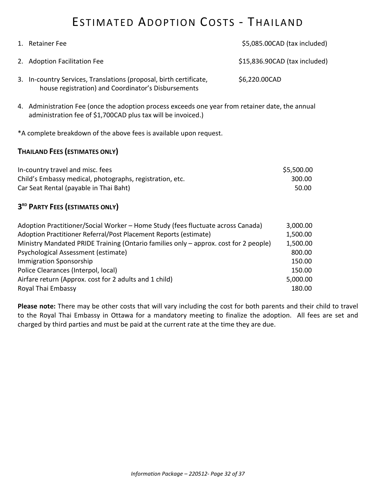### ESTIMATED ADOPTION COSTS - THAILAND

| 1. Retainer Fee                                                                                                           | \$5,085.00CAD (tax included)  |
|---------------------------------------------------------------------------------------------------------------------------|-------------------------------|
| 2. Adoption Facilitation Fee                                                                                              | \$15,836.90CAD (tax included) |
| 3. In-country Services, Translations (proposal, birth certificate,<br>house registration) and Coordinator's Disbursements | \$6,220.00CAD                 |

4. Administration Fee (once the adoption process exceeds one year from retainer date, the annual administration fee of \$1,700CAD plus tax will be invoiced.)

\*A complete breakdown of the above fees is available upon request.

#### **THAILAND FEES (ESTIMATES ONLY)**

| In-country travel and misc. fees                         | \$5,500.00 |
|----------------------------------------------------------|------------|
| Child's Embassy medical, photographs, registration, etc. | 300.00     |
| Car Seat Rental (payable in Thai Baht)                   | 50.00      |

#### **3 RD PARTY FEES (ESTIMATES ONLY)**

| Adoption Practitioner/Social Worker - Home Study (fees fluctuate across Canada)      | 3,000.00 |
|--------------------------------------------------------------------------------------|----------|
| Adoption Practitioner Referral/Post Placement Reports (estimate)                     | 1,500.00 |
| Ministry Mandated PRIDE Training (Ontario families only - approx. cost for 2 people) | 1,500.00 |
| Psychological Assessment (estimate)                                                  | 800.00   |
| <b>Immigration Sponsorship</b>                                                       | 150.00   |
| Police Clearances (Interpol, local)                                                  | 150.00   |
| Airfare return (Approx. cost for 2 adults and 1 child)                               | 5,000.00 |
| Royal Thai Embassy                                                                   | 180.00   |
|                                                                                      |          |

**Please note:** There may be other costs that will vary including the cost for both parents and their child to travel to the Royal Thai Embassy in Ottawa for a mandatory meeting to finalize the adoption. All fees are set and charged by third parties and must be paid at the current rate at the time they are due.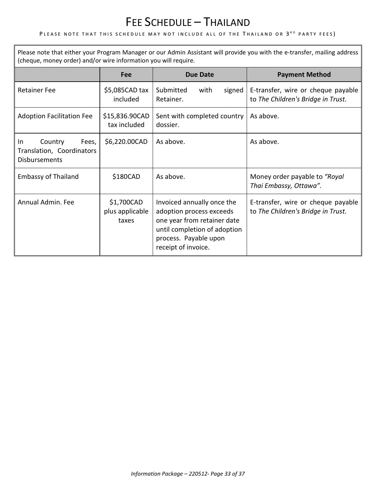### FEE SCHEDULE – THAILAND

#### PLEASE NOTE THAT THIS SCHEDULE MAY NOT INCLUDE ALL OF THE <mark>T</mark>HAILAND OR 3<sup>rd</sup> party fees)

Please note that either your Program Manager or our Admin Assistant will provide you with the e-transfer, mailing address (cheque, money order) and/or wire information you will require.

|                                                                              | Fee                                    | <b>Due Date</b>                                                                                                                                                       | <b>Payment Method</b>                                                    |
|------------------------------------------------------------------------------|----------------------------------------|-----------------------------------------------------------------------------------------------------------------------------------------------------------------------|--------------------------------------------------------------------------|
| <b>Retainer Fee</b>                                                          | $$5,085$ CAD tax<br>included           | Submitted<br>with<br>signed<br>Retainer.                                                                                                                              | E-transfer, wire or cheque payable<br>to The Children's Bridge in Trust. |
| <b>Adoption Facilitation Fee</b>                                             | \$15,836.90CAD<br>tax included         | Sent with completed country<br>dossier.                                                                                                                               | As above.                                                                |
| Country<br>Fees,<br>In.<br>Translation, Coordinators<br><b>Disbursements</b> | \$6,220.00CAD                          | As above.                                                                                                                                                             | As above.                                                                |
| <b>Embassy of Thailand</b>                                                   | \$180CAD                               | As above.                                                                                                                                                             | Money order payable to "Royal<br>Thai Embassy, Ottawa".                  |
| Annual Admin. Fee                                                            | \$1,700CAD<br>plus applicable<br>taxes | Invoiced annually once the<br>adoption process exceeds<br>one year from retainer date<br>until completion of adoption<br>process. Payable upon<br>receipt of invoice. | E-transfer, wire or cheque payable<br>to The Children's Bridge in Trust. |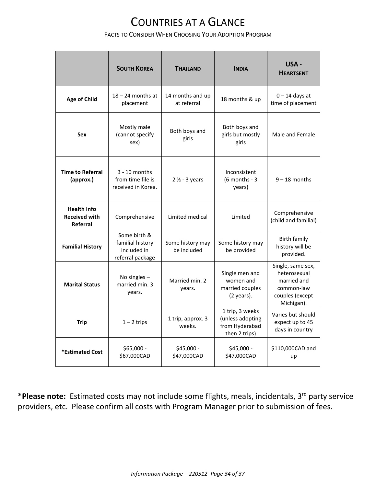### COUNTRIES AT A GLANCE

#### FACTS TO CONSIDER WHEN CHOOSING YOUR ADOPTION PROGRAM

|                                                                                                        | <b>SOUTH KOREA</b>                                                  | <b>THAILAND</b>                                                        | <b>INDIA</b>                                                                                    | USA -<br><b>HEARTSENT</b>                               |
|--------------------------------------------------------------------------------------------------------|---------------------------------------------------------------------|------------------------------------------------------------------------|-------------------------------------------------------------------------------------------------|---------------------------------------------------------|
| <b>Age of Child</b>                                                                                    | $18 - 24$ months at<br>placement                                    | 14 months and up<br>at referral                                        | 18 months & up                                                                                  | $0 - 14$ days at<br>time of placement                   |
| Sex                                                                                                    | Mostly male<br>(cannot specify<br>sex)                              | Both boys and<br>girls                                                 | Both boys and<br>girls but mostly<br>girls                                                      | Male and Female                                         |
| <b>Time to Referral</b><br>(approx.)                                                                   | $3 - 10$ months<br>from time file is<br>received in Korea.          | $2 \frac{1}{2}$ - 3 years                                              | Inconsistent<br>$(6$ months - 3<br>years)                                                       | $9 - 18$ months                                         |
| <b>Health Info</b><br><b>Received with</b><br>Referral                                                 | Comprehensive                                                       | Limited medical                                                        | Limited                                                                                         | Comprehensive<br>(child and familial)                   |
| <b>Familial History</b>                                                                                | Some birth &<br>familial history<br>included in<br>referral package | Some history may<br>be included                                        | Some history may<br>be provided                                                                 | <b>Birth family</b><br>history will be<br>provided.     |
| No singles $-$<br>Married min. 2<br><b>Marital Status</b><br>married min. 3<br>years.<br>years.        |                                                                     | Single men and<br>women and<br>married couples<br>$(2 \text{ years}).$ | Single, same sex,<br>heterosexual<br>married and<br>common-law<br>couples (except<br>Michigan). |                                                         |
| <b>Trip</b>                                                                                            | $1 - 2$ trips                                                       | 1 trip, approx. 3<br>weeks.                                            | 1 trip, 3 weeks<br>(unless adopting<br>from Hyderabad<br>then 2 trips)                          | Varies but should<br>expect up to 45<br>days in country |
| \$65,000 -<br>\$45,000 -<br>\$45,000 -<br>*Estimated Cost<br>\$67,000CAD<br>\$47,000CAD<br>\$47,000CAD |                                                                     |                                                                        | \$110,000CAD and<br>up                                                                          |                                                         |

\*Please note: Estimated costs may not include some flights, meals, incidentals, 3<sup>rd</sup> party service providers, etc. Please confirm all costs with Program Manager prior to submission of fees.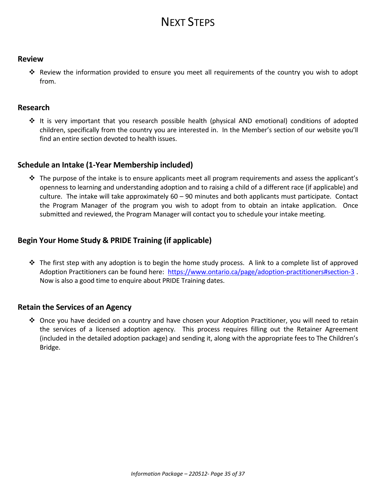### NEXT STEPS

#### **Review**

❖ Review the information provided to ensure you meet all requirements of the country you wish to adopt from.

#### **Research**

❖ It is very important that you research possible health (physical AND emotional) conditions of adopted children, specifically from the country you are interested in. In the Member's section of our website you'll find an entire section devoted to health issues.

#### **Schedule an Intake (1-Year Membership included)**

❖ The purpose of the intake is to ensure applicants meet all program requirements and assess the applicant's openness to learning and understanding adoption and to raising a child of a different race (if applicable) and culture. The intake will take approximately 60 – 90 minutes and both applicants must participate. Contact the Program Manager of the program you wish to adopt from to obtain an intake application. Once submitted and reviewed, the Program Manager will contact you to schedule your intake meeting.

#### **Begin Your Home Study & PRIDE Training (if applicable)**

❖ The first step with any adoption is to begin the home study process. A link to a complete list of approved Adoption Practitioners can be found here: <https://www.ontario.ca/page/adoption-practitioners#section-3> . Now is also a good time to enquire about PRIDE Training dates.

#### **Retain the Services of an Agency**

❖ Once you have decided on a country and have chosen your Adoption Practitioner, you will need to retain the services of a licensed adoption agency. This process requires filling out the Retainer Agreement (included in the detailed adoption package) and sending it, along with the appropriate fees to The Children's Bridge.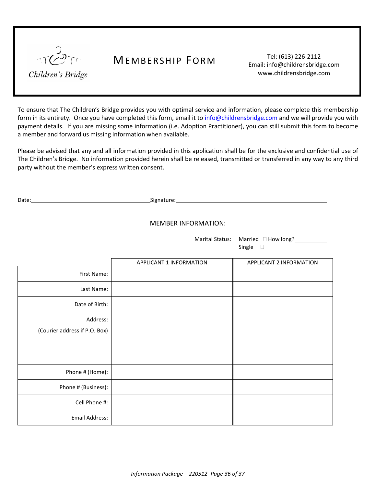

### MEMBERSHIP FORM Tel: (613) 226-2112

Email: info@childrensbridge.com www.childrensbridge.com

To ensure that The Children's Bridge provides you with optimal service and information, please complete this membership form in its entirety. Once you have completed this form, email it to [info@childrensbridge.com](mailto:info@childrensbridge.com) and we will provide you with payment details. If you are missing some information (i.e. Adoption Practitioner), you can still submit this form to become a member and forward us missing information when available.

Please be advised that any and all information provided in this application shall be for the exclusive and confidential use of The Children's Bridge. No information provided herein shall be released, transmitted or transferred in any way to any third party without the member's express written consent.

Date: Signature: Signature: Signature: Signature: Signature: Signature: Signature: Signature: Signature: Signature: Signature: Signature: Signature: Signature: Signature: Signature: Signature: Signature: Signature: Signatu

#### MEMBER INFORMATION:

Marital Status: Married  $\Box$  How long? Single  $\square$ 

|                                           | APPLICANT 1 INFORMATION | APPLICANT 2 INFORMATION |
|-------------------------------------------|-------------------------|-------------------------|
| First Name:                               |                         |                         |
| Last Name:                                |                         |                         |
| Date of Birth:                            |                         |                         |
| Address:<br>(Courier address if P.O. Box) |                         |                         |
| Phone # (Home):                           |                         |                         |
| Phone # (Business):                       |                         |                         |
| Cell Phone #:                             |                         |                         |
| Email Address:                            |                         |                         |